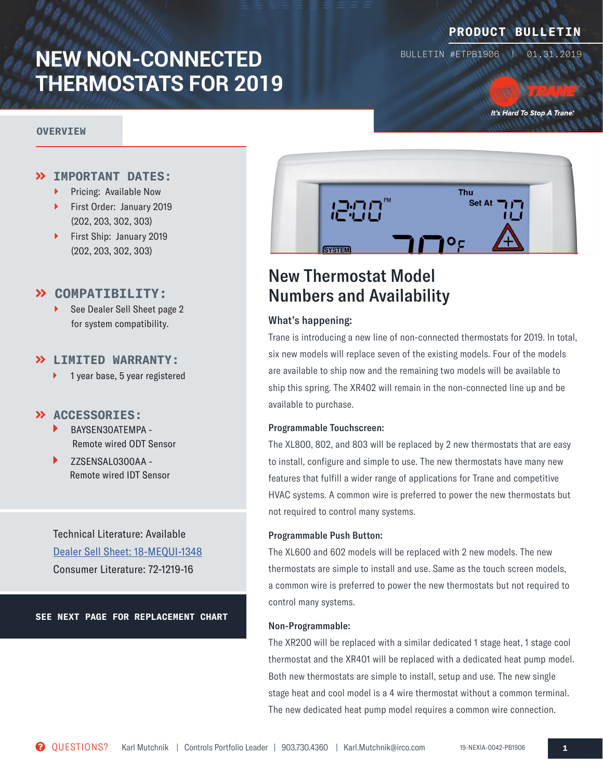# **NEW NON-CONNECTED THERMOSTATS FOR 2019**

#### **OVERVIEW**

### **PRODUCT BULLETIN**

BULLETIN #ETPB1906 | 01.31.2019

It's Hard To Stop A Trane.

### **IMPORTANT DATES:**

- Pricing: Available Now
- First Order: January 2019 (202, 203, 302, 303)
- ▶ First Ship: January 2019 (202, 203, 302, 303)

### **COMPATIBILITY:**

 See Dealer Sell Sheet page 2 for system compatibility.

### **LIMITED WARRANTY:**

1 year base, 5 year registered

#### **ACCESSORIES:**

- BAYSEN30ATEMPA Remote wired ODT Sensor
- ZZSENSAL0300AA Remote wired IDT Sensor

Technical Literature: Available [Dealer Sell Sheet: 18-MEQUI-1348](https://www.comfortsite.com/Resources/Partners/5238e290-0dca-49ab-a0f5-affcfc1e7231/documents/Trane_Non-Connected_SellSheet.pdf) Consumer Literature: 72-1219-16

**SEE NEXT PAGE FOR REPLACEMENT CHART**



# New Thermostat Model Numbers and Availability

#### What's happening:

Trane is introducing a new line of non-connected thermostats for 2019. In total, six new models will replace seven of the existing models. Four of the models are available to ship now and the remaining two models will be available to ship this spring. The XR402 will remain in the non-connected line up and be available to purchase.

#### Programmable Touchscreen:

The XL800, 802, and 803 will be replaced by 2 new thermostats that are easy to install, configure and simple to use. The new thermostats have many new features that fulfill a wider range of applications for Trane and competitive HVAC systems. A common wire is preferred to power the new thermostats but not required to control many systems.

#### Programmable Push Button:

The XL600 and 602 models will be replaced with 2 new models. The new thermostats are simple to install and use. Same as the touch screen models, a common wire is preferred to power the new thermostats but not required to control many systems.

#### Non-Programmable:

The XR200 will be replaced with a similar dedicated 1 stage heat, 1 stage cool thermostat and the XR401 will be replaced with a dedicated heat pump model. Both new thermostats are simple to install, setup and use. The new single stage heat and cool model is a 4 wire thermostat without a common terminal. The new dedicated heat pump model requires a common wire connection.